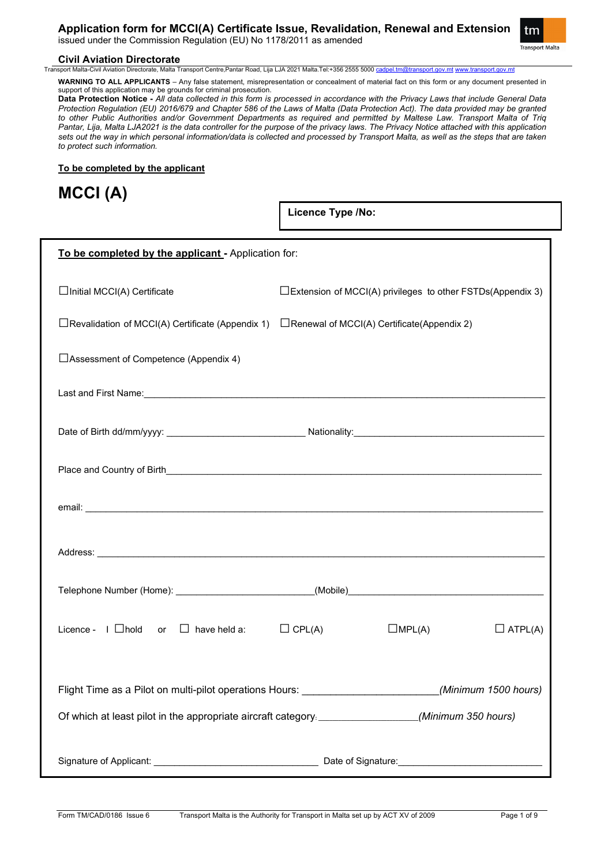**Application form for MCCI(A) Certificate Issue, Revalidation, Renewal and Extension**

issued under the Commission Regulation (EU) No 1178/2011 as amended



# **Civil Aviation Directorate**<br>Transport Malta-Civil Aviation Directorate. Malta T

a Transport Centre,Pantar Road, Lija LJA 2021 Malta Tel:+356 2555 5000 <u>[cadpel.tm@transport.gov.mt](mailto:cadpel.tm@transport.gov.mt) www.trans</u>

**WARNING TO ALL APPLICANTS** – Any false statement, misrepresentation or concealment of material fact on this form or any document presented in support of this application may be grounds for criminal prosecution.

**Data Protection Notice -** *All data collected in this form is processed in accordance with the Privacy Laws that include General Data Protection Regulation (EU) 2016/679 and Chapter 586 of the Laws of Malta (Data Protection Act). The data provided may be granted to other Public Authorities and/or Government Departments as required and permitted by Maltese Law. Transport Malta of Triq Pantar, Lija, Malta LJA2021 is the data controller for the purpose of the privacy laws. The Privacy Notice attached with this application sets out the way in which personal information/data is collected and processed by Transport Malta, as well as the steps that are taken to protect such information.*

### **To be completed by the applicant**

**MCCI (A)**

**Licence Type /No:** 

| To be completed by the applicant - Application for:                                                  |                                                   |                                                             |                |  |
|------------------------------------------------------------------------------------------------------|---------------------------------------------------|-------------------------------------------------------------|----------------|--|
| $\Box$ Initial MCCI(A) Certificate                                                                   |                                                   | □Extension of MCCI(A) privileges to other FSTDs(Appendix 3) |                |  |
| $\Box$ Revalidation of MCCI(A) Certificate (Appendix 1)                                              | $\Box$ Renewal of MCCI(A) Certificate(Appendix 2) |                                                             |                |  |
| $\Box$ Assessment of Competence (Appendix 4)                                                         |                                                   |                                                             |                |  |
|                                                                                                      |                                                   |                                                             |                |  |
|                                                                                                      |                                                   |                                                             |                |  |
|                                                                                                      |                                                   |                                                             |                |  |
|                                                                                                      |                                                   |                                                             |                |  |
|                                                                                                      |                                                   |                                                             |                |  |
|                                                                                                      |                                                   |                                                             |                |  |
| Licence - $I$ $\Box$ hold or $\Box$ have held a: $\Box$ CPL(A)                                       |                                                   | $\square$ MPL(A)                                            | $\Box$ ATPL(A) |  |
| Flight Time as a Pilot on multi-pilot operations Hours: ________________________(Minimum 1500 hours) |                                                   |                                                             |                |  |
| Of which at least pilot in the appropriate aircraft category. ________________(Minimum 350 hours)    |                                                   |                                                             |                |  |
|                                                                                                      |                                                   |                                                             |                |  |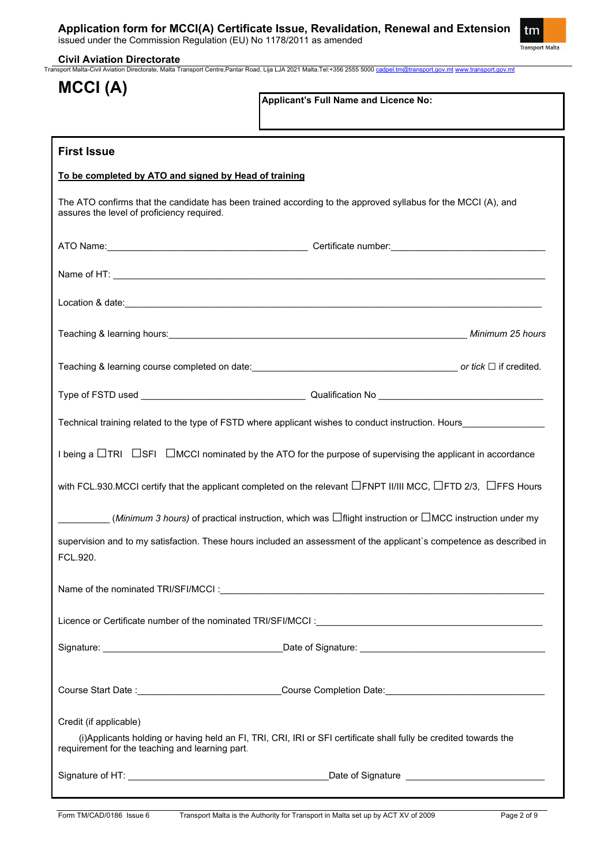

**Civil Aviation Directorate** Transport Malta-Civil Aviation Directorate, Malta Transport Centre,Pantar Road, Lija LJA 2021 Malta.Tel:+356 2555 5000 [cadpel.tm@transport.gov.mt](mailto:cadpel.tm@transport.gov.mt) [www.transport.gov.mt](http://www.transport.gov.mt/)

| MCCI (A)                                                                  |                                                                                                                                                                                                                                      |
|---------------------------------------------------------------------------|--------------------------------------------------------------------------------------------------------------------------------------------------------------------------------------------------------------------------------------|
|                                                                           | Applicant's Full Name and Licence No:                                                                                                                                                                                                |
|                                                                           |                                                                                                                                                                                                                                      |
| <b>First Issue</b>                                                        |                                                                                                                                                                                                                                      |
| To be completed by ATO and signed by Head of training                     |                                                                                                                                                                                                                                      |
| assures the level of proficiency required.                                | The ATO confirms that the candidate has been trained according to the approved syllabus for the MCCI (A), and                                                                                                                        |
|                                                                           |                                                                                                                                                                                                                                      |
|                                                                           |                                                                                                                                                                                                                                      |
|                                                                           | Location & date: <u>contract and a set of the set of the set of the set of the set of the set of the set of the set of the set of the set of the set of the set of the set of the set of the set of the set of the set of the se</u> |
|                                                                           |                                                                                                                                                                                                                                      |
|                                                                           |                                                                                                                                                                                                                                      |
|                                                                           |                                                                                                                                                                                                                                      |
|                                                                           | Technical training related to the type of FSTD where applicant wishes to conduct instruction. Hours                                                                                                                                  |
|                                                                           | I being a $\Box$ TRI $\Box$ SFI $\Box$ MCCI nominated by the ATO for the purpose of supervising the applicant in accordance                                                                                                          |
|                                                                           | with FCL.930.MCCI certify that the applicant completed on the relevant $\Box$ FNPT II/III MCC, $\Box$ FTD 2/3, $\Box$ FFS Hours                                                                                                      |
|                                                                           | ________ ( <i>Minimum 3 hours)</i> of practical instruction, which was $\Box$ flight instruction or $\Box$ MCC instruction under my                                                                                                  |
| FCL.920.                                                                  | supervision and to my satisfaction. These hours included an assessment of the applicant's competence as described in                                                                                                                 |
|                                                                           |                                                                                                                                                                                                                                      |
|                                                                           |                                                                                                                                                                                                                                      |
|                                                                           |                                                                                                                                                                                                                                      |
|                                                                           |                                                                                                                                                                                                                                      |
|                                                                           |                                                                                                                                                                                                                                      |
| Credit (if applicable)<br>requirement for the teaching and learning part. | (i) Applicants holding or having held an FI, TRI, CRI, IRI or SFI certificate shall fully be credited towards the                                                                                                                    |
|                                                                           |                                                                                                                                                                                                                                      |
|                                                                           |                                                                                                                                                                                                                                      |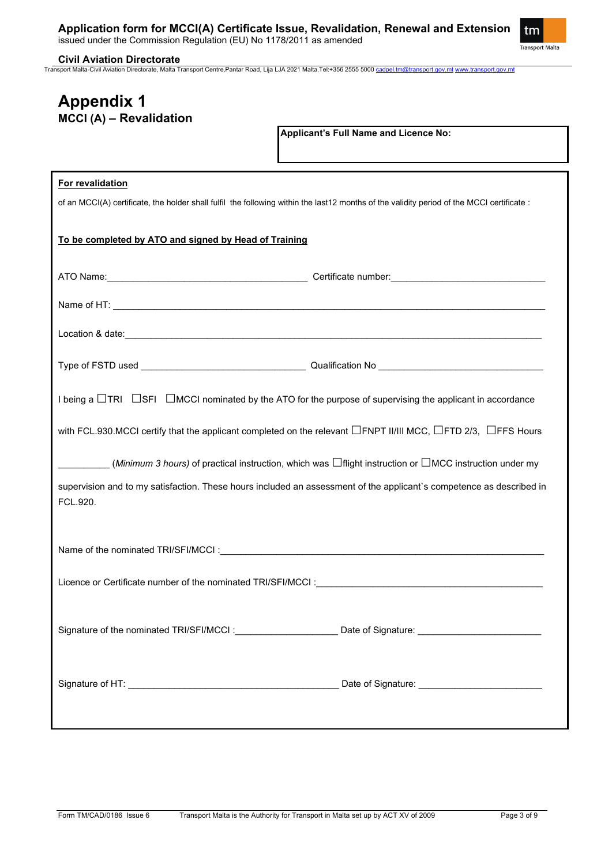

**Civil Aviation Directorate**

Transport Malta-Civil Aviation Directorate, Malta Transport Centre,Pantar Road, Lija LJA 2021 Malta.Tel:+356 2555 5000 [cadpel.tm@transport.gov.mt](mailto:cadpel.tm@transport.gov.mt) [www.transport.gov.mt](http://www.transport.gov.mt/)

# **Appendix 1 MCCI (A) – Revalidation**

**Applicant's Full Name and Licence No:**

### **For revalidation**

of an MCCI(A) certificate, the holder shall fulfil the following within the last12 months of the validity period of the MCCI certificate :

# **To be completed by ATO and signed by Head of Training**

| I being a $\Box$ TRI $\Box$ SFI $\Box$ MCCI nominated by the ATO for the purpose of supervising the applicant in accordance                                                                                                                                    |  |
|----------------------------------------------------------------------------------------------------------------------------------------------------------------------------------------------------------------------------------------------------------------|--|
| with FCL.930.MCCI certify that the applicant completed on the relevant $\Box$ FNPT II/III MCC, $\Box$ FTD 2/3, $\Box$ FFS Hours                                                                                                                                |  |
| ( <i>Minimum 3 hours)</i> of practical instruction, which was $\Box$ flight instruction or $\Box$ MCC instruction under my<br>supervision and to my satisfaction. These hours included an assessment of the applicant's competence as described in<br>FCL.920. |  |
|                                                                                                                                                                                                                                                                |  |
|                                                                                                                                                                                                                                                                |  |
| Signature of the nominated TRI/SFI/MCCI: _________________________ Date of Signature: ________________________                                                                                                                                                 |  |
|                                                                                                                                                                                                                                                                |  |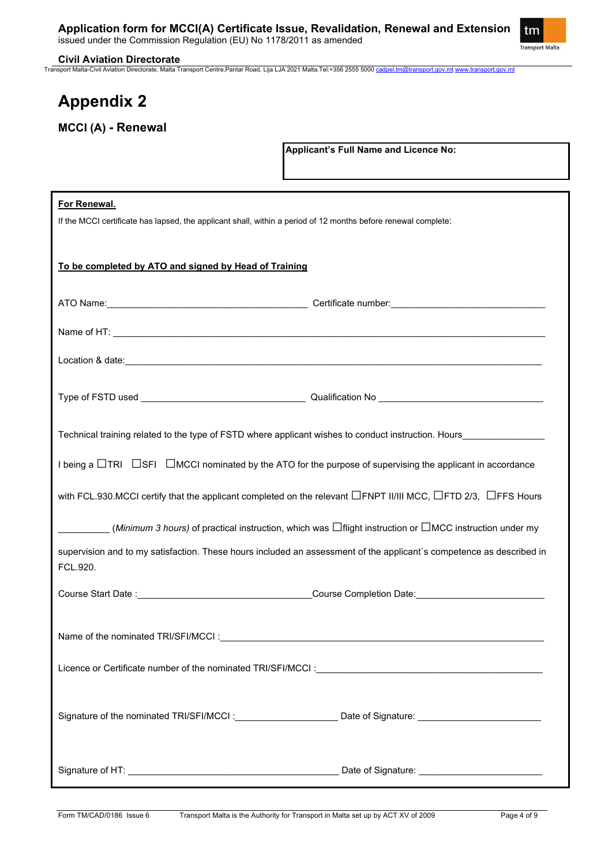

#### **Civil Aviation Directorate**

Transport Malta-Civil Aviation Directorate, Malta Transport Centre,Pantar Road, Lija LJA 2021 Malta.Tel:+356 2555 5000 [cadpel.tm@transport.gov.mt](mailto:cadpel.tm@transport.gov.mt) [www.transport.gov.mt](http://www.transport.gov.mt/)

# **Appendix 2**

**MCCI (A) - Renewal**

**Applicant's Full Name and Licence No:**

| For Renewal.                                                                                                                                                                                                                   |  |  |  |  |
|--------------------------------------------------------------------------------------------------------------------------------------------------------------------------------------------------------------------------------|--|--|--|--|
| If the MCCI certificate has lapsed, the applicant shall, within a period of 12 months before renewal complete:                                                                                                                 |  |  |  |  |
|                                                                                                                                                                                                                                |  |  |  |  |
| To be completed by ATO and signed by Head of Training                                                                                                                                                                          |  |  |  |  |
|                                                                                                                                                                                                                                |  |  |  |  |
|                                                                                                                                                                                                                                |  |  |  |  |
|                                                                                                                                                                                                                                |  |  |  |  |
|                                                                                                                                                                                                                                |  |  |  |  |
| Location & date: experience and a series of the series of the series of the series of the series of the series of the series of the series of the series of the series of the series of the series of the series of the series |  |  |  |  |
|                                                                                                                                                                                                                                |  |  |  |  |
|                                                                                                                                                                                                                                |  |  |  |  |
| Technical training related to the type of FSTD where applicant wishes to conduct instruction. Hours                                                                                                                            |  |  |  |  |
|                                                                                                                                                                                                                                |  |  |  |  |
| I being a $\Box$ TRI $\Box$ SFI $\Box$ MCCI nominated by the ATO for the purpose of supervising the applicant in accordance                                                                                                    |  |  |  |  |
| with FCL.930.MCCI certify that the applicant completed on the relevant $\Box$ FNPT II/III MCC, $\Box$ FTD 2/3, $\Box$ FFS Hours                                                                                                |  |  |  |  |
| ( <i>Minimum 3 hours)</i> of practical instruction, which was $\Box$ flight instruction or $\Box$ MCC instruction under my                                                                                                     |  |  |  |  |
| supervision and to my satisfaction. These hours included an assessment of the applicant's competence as described in<br>FCL.920.                                                                                               |  |  |  |  |
|                                                                                                                                                                                                                                |  |  |  |  |
|                                                                                                                                                                                                                                |  |  |  |  |
|                                                                                                                                                                                                                                |  |  |  |  |
|                                                                                                                                                                                                                                |  |  |  |  |
| Licence or Certificate number of the nominated TRI/SFI/MCCI : Cambridge Control of the control of the control of                                                                                                               |  |  |  |  |
|                                                                                                                                                                                                                                |  |  |  |  |
| Signature of the nominated TRI/SFI/MCCI: Date of Signature: _____________________                                                                                                                                              |  |  |  |  |
|                                                                                                                                                                                                                                |  |  |  |  |
|                                                                                                                                                                                                                                |  |  |  |  |
|                                                                                                                                                                                                                                |  |  |  |  |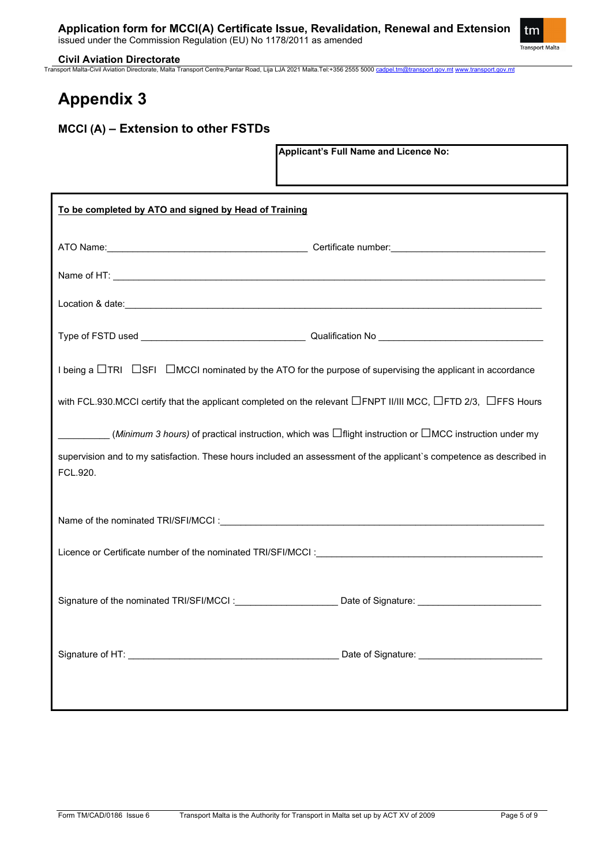

#### **Civil Aviation Directorate**

Transport Malta-Civil Aviation Directorate, Malta Transport Centre,Pantar Road, Lija LJA 2021 Malta.Tel:+356 2555 5000 [cadpel.tm@transport.gov.mt](mailto:cadpel.tm@transport.gov.mt) [www.transport.gov.mt](http://www.transport.gov.mt/)

# **Appendix 3**

# **MCCI (A) – Extension to other FSTDs**

**Applicant's Full Name and Licence No:**

| To be completed by ATO and signed by Head of Training                                                                                                                                                                          |  |  |  |  |  |
|--------------------------------------------------------------------------------------------------------------------------------------------------------------------------------------------------------------------------------|--|--|--|--|--|
|                                                                                                                                                                                                                                |  |  |  |  |  |
|                                                                                                                                                                                                                                |  |  |  |  |  |
| Location & date: experience of the state of the state of the state of the state of the state of the state of the state of the state of the state of the state of the state of the state of the state of the state of the state |  |  |  |  |  |
|                                                                                                                                                                                                                                |  |  |  |  |  |
| I being a $\Box$ TRI $\Box$ SFI $\Box$ MCCI nominated by the ATO for the purpose of supervising the applicant in accordance                                                                                                    |  |  |  |  |  |
| with FCL.930.MCCI certify that the applicant completed on the relevant $\Box$ FNPT II/III MCC, $\Box$ FTD 2/3, $\Box$ FFS Hours                                                                                                |  |  |  |  |  |
| ( <i>Minimum 3 hours)</i> of practical instruction, which was $\Box$ flight instruction or $\Box$ MCC instruction under my                                                                                                     |  |  |  |  |  |
| supervision and to my satisfaction. These hours included an assessment of the applicant's competence as described in<br>FCL.920.                                                                                               |  |  |  |  |  |
|                                                                                                                                                                                                                                |  |  |  |  |  |
|                                                                                                                                                                                                                                |  |  |  |  |  |
| Signature of the nominated TRI/SFI/MCCI: Date of Signature: Date of Signature:                                                                                                                                                 |  |  |  |  |  |
|                                                                                                                                                                                                                                |  |  |  |  |  |
|                                                                                                                                                                                                                                |  |  |  |  |  |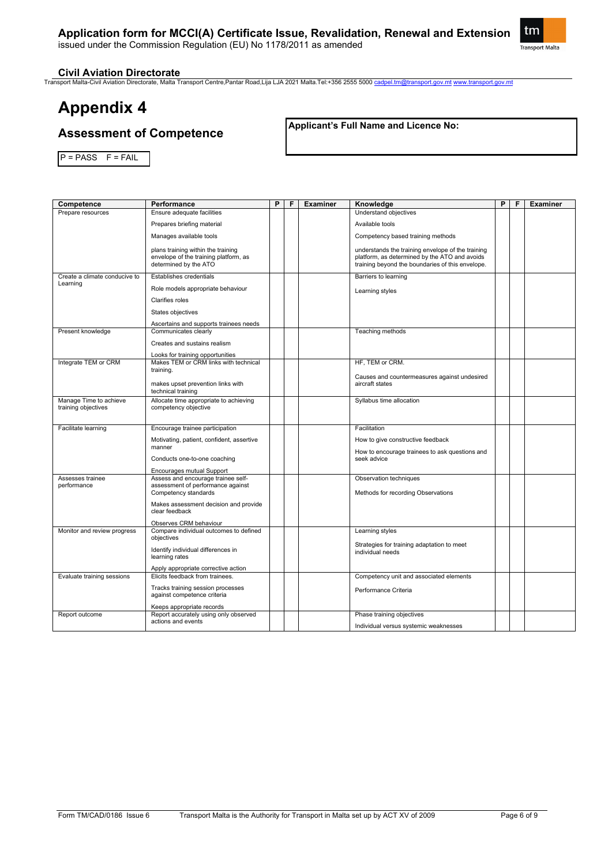# **Application form for MCCI(A) Certificate Issue, Revalidation, Renewal and Extension**

issued under the Commission Regulation (EU) No 1178/2011 as amended



### **Civil Aviation Directorate**

Transport Malta-Civil Aviation Directorate, Malta Transport Centre,Pantar Road,Lija LJA 2021 Malta.Tel:+356 2555 5000 [cadpel.tm@transport.gov.mt](mailto:cadpel.tm@transport.gov.mt) [www.transport.gov.mt](http://www.transport.gov.mt/)

# **Appendix 4**

# **Assessment of Competence**

**Applicant's Full Name and Licence No:**

 $P = PASS$   $F = FAIL$ 

| Competence                    | Performance                                                            | P | F | <b>Examiner</b> | Knowledge                                                      | P | F | <b>Examiner</b> |
|-------------------------------|------------------------------------------------------------------------|---|---|-----------------|----------------------------------------------------------------|---|---|-----------------|
| Prepare resources             | Ensure adequate facilities                                             |   |   |                 | Understand objectives                                          |   |   |                 |
|                               | Prepares briefing material                                             |   |   |                 | Available tools                                                |   |   |                 |
|                               | Manages available tools                                                |   |   |                 | Competency based training methods                              |   |   |                 |
|                               | plans training within the training                                     |   |   |                 | understands the training envelope of the training              |   |   |                 |
|                               | envelope of the training platform, as                                  |   |   |                 | platform, as determined by the ATO and avoids                  |   |   |                 |
|                               | determined by the ATO                                                  |   |   |                 | training beyond the boundaries of this envelope.               |   |   |                 |
| Create a climate conducive to | Establishes credentials                                                |   |   |                 | Barriers to learning                                           |   |   |                 |
| Learning                      | Role models appropriate behaviour                                      |   |   |                 | Learning styles                                                |   |   |                 |
|                               | Clarifies roles                                                        |   |   |                 |                                                                |   |   |                 |
|                               | States objectives                                                      |   |   |                 |                                                                |   |   |                 |
|                               | Ascertains and supports trainees needs                                 |   |   |                 |                                                                |   |   |                 |
| Present knowledge             | Communicates clearly                                                   |   |   |                 | Teaching methods                                               |   |   |                 |
|                               | Creates and sustains realism                                           |   |   |                 |                                                                |   |   |                 |
|                               | Looks for training opportunities                                       |   |   |                 |                                                                |   |   |                 |
| Integrate TEM or CRM          | Makes TEM or CRM links with technical<br>training.                     |   |   |                 | HF, TEM or CRM.                                                |   |   |                 |
|                               |                                                                        |   |   |                 | Causes and countermeasures against undesired                   |   |   |                 |
|                               | makes upset prevention links with<br>technical training                |   |   |                 | aircraft states                                                |   |   |                 |
| Manage Time to achieve        | Allocate time appropriate to achieving                                 |   |   |                 | Syllabus time allocation                                       |   |   |                 |
| training objectives           | competency objective                                                   |   |   |                 |                                                                |   |   |                 |
|                               |                                                                        |   |   |                 |                                                                |   |   |                 |
| Facilitate learning           | Encourage trainee participation                                        |   |   |                 | Facilitation                                                   |   |   |                 |
|                               | Motivating, patient, confident, assertive<br>manner                    |   |   |                 | How to give constructive feedback                              |   |   |                 |
|                               |                                                                        |   |   |                 | How to encourage trainees to ask questions and<br>seek advice  |   |   |                 |
|                               | Conducts one-to-one coaching                                           |   |   |                 |                                                                |   |   |                 |
| Assesses trainee              | <b>Encourages mutual Support</b><br>Assess and encourage trainee self- |   |   |                 | Observation techniques                                         |   |   |                 |
| performance                   | assessment of performance against                                      |   |   |                 |                                                                |   |   |                 |
|                               | Competency standards                                                   |   |   |                 | Methods for recording Observations                             |   |   |                 |
|                               | Makes assessment decision and provide                                  |   |   |                 |                                                                |   |   |                 |
|                               | clear feedback                                                         |   |   |                 |                                                                |   |   |                 |
|                               | Observes CRM behaviour                                                 |   |   |                 |                                                                |   |   |                 |
| Monitor and review progress   | Compare individual outcomes to defined<br>objectives                   |   |   |                 | Learning styles                                                |   |   |                 |
|                               | Identify individual differences in                                     |   |   |                 | Strategies for training adaptation to meet<br>individual needs |   |   |                 |
|                               | learning rates                                                         |   |   |                 |                                                                |   |   |                 |
|                               | Apply appropriate corrective action                                    |   |   |                 |                                                                |   |   |                 |
| Evaluate training sessions    | Elicits feedback from trainees.                                        |   |   |                 | Competency unit and associated elements                        |   |   |                 |
|                               | Tracks training session processes                                      |   |   |                 | Performance Criteria                                           |   |   |                 |
|                               | against competence criteria                                            |   |   |                 |                                                                |   |   |                 |
|                               | Keeps appropriate records                                              |   |   |                 |                                                                |   |   |                 |
| Report outcome                | Report accurately using only observed<br>actions and events            |   |   |                 | Phase training objectives                                      |   |   |                 |
|                               |                                                                        |   |   |                 | Individual versus systemic weaknesses                          |   |   |                 |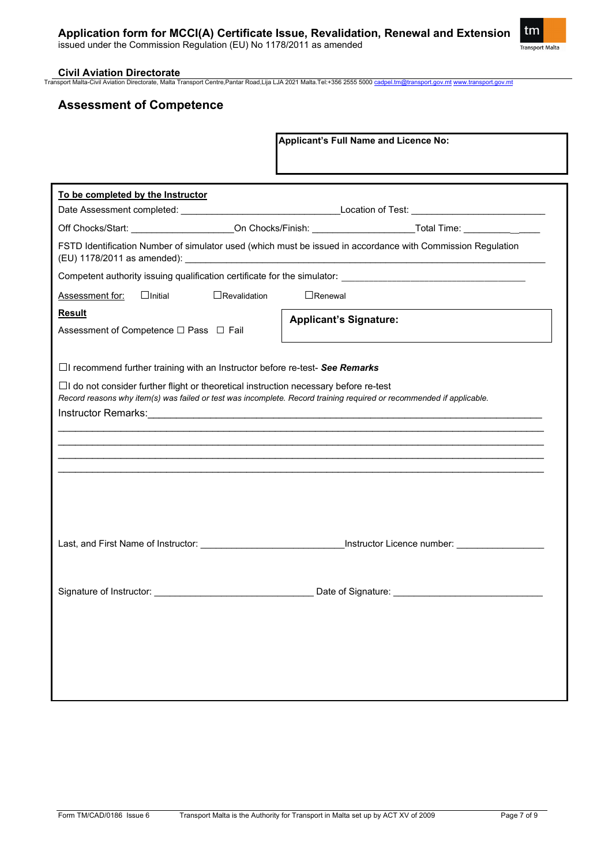### **Civil Aviation Directorate**

Transport Malta-Civil Aviation Directorate, Malta Transport Centre,Pantar Road,Lija LJA 2021 Malta.Tel:+356 2555 5000 [cadpel.tm@transport.gov.mt](mailto:cadpel.tm@transport.gov.mt) [www.transport.gov.mt](http://www.transport.gov.mt/)

# **Assessment of Competence**

|                                                                                                                                                                                                                     | <b>Applicant's Full Name and Licence No:</b>                                                                   |
|---------------------------------------------------------------------------------------------------------------------------------------------------------------------------------------------------------------------|----------------------------------------------------------------------------------------------------------------|
| To be completed by the Instructor                                                                                                                                                                                   |                                                                                                                |
|                                                                                                                                                                                                                     | Off Chocks/Start: ____________________On Chocks/Finish: ______________________Total Time: ________________     |
|                                                                                                                                                                                                                     | FSTD Identification Number of simulator used (which must be issued in accordance with Commission Regulation    |
|                                                                                                                                                                                                                     |                                                                                                                |
| $\Box$ Revalidation<br>$\Box$ Initial<br><b>Assessment for:</b>                                                                                                                                                     | $\Box$ Renewal                                                                                                 |
| <b>Result</b><br>Assessment of Competence □ Pass □ Fail                                                                                                                                                             | <b>Applicant's Signature:</b>                                                                                  |
| $\Box$ I recommend further training with an Instructor before re-test- See Remarks                                                                                                                                  |                                                                                                                |
| $\Box$ I do not consider further flight or theoretical instruction necessary before re-test<br>Record reasons why item(s) was failed or test was incomplete. Record training required or recommended if applicable. |                                                                                                                |
|                                                                                                                                                                                                                     |                                                                                                                |
|                                                                                                                                                                                                                     | Last, and First Name of Instructor: ___________________________________Instructor Licence number: ____________ |
| Signature of Instructor:                                                                                                                                                                                            | Date of Signature:                                                                                             |
|                                                                                                                                                                                                                     |                                                                                                                |
|                                                                                                                                                                                                                     |                                                                                                                |

tm Transport Malta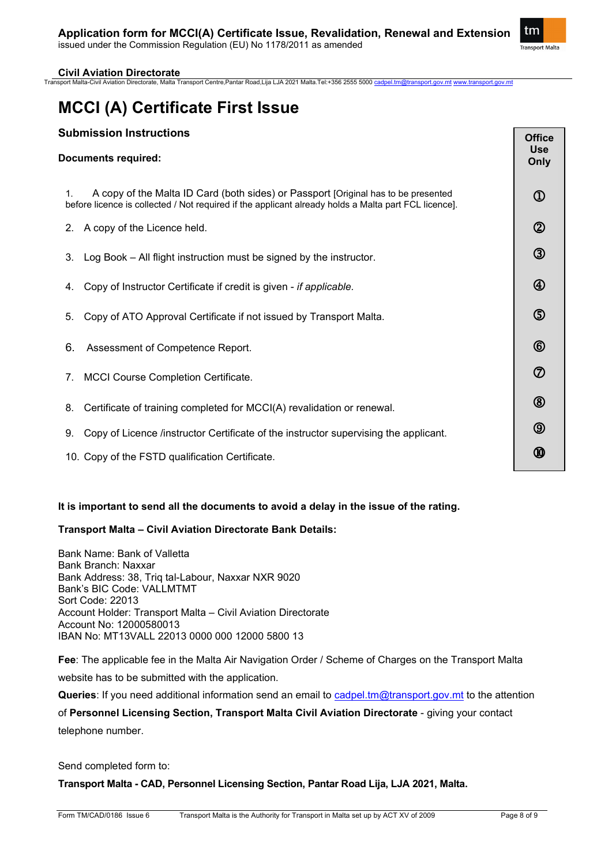

## **Civil Aviation Directorate**

Transport Malta-Civil Aviation Directorate, Malta Transport Centre,Pantar Road,Lija LJA 2021 Malta.Tel:+356 2555 5000 [cadpel.tm@transport.gov.mt](mailto:cadpel.tm@transport.gov.mt) [www.transport.gov.mt](http://www.transport.gov.mt/)

# **MCCI (A) Certificate First Issue**

# **Submission Instructions**

| <b>Submission Instructions</b><br><b>Documents required:</b>                                                                                                                                    | <b>Office</b><br><b>Use</b><br>Only |
|-------------------------------------------------------------------------------------------------------------------------------------------------------------------------------------------------|-------------------------------------|
| A copy of the Malta ID Card (both sides) or Passport [Original has to be presented<br>1.<br>before licence is collected / Not required if the applicant already holds a Malta part FCL licence. | $^{\circledR}$                      |
| A copy of the Licence held.<br>2.                                                                                                                                                               | $^{\circledR}$                      |
| Log Book - All flight instruction must be signed by the instructor.<br>3.                                                                                                                       | $^\circledR$                        |
| Copy of Instructor Certificate if credit is given - if applicable.<br>4.                                                                                                                        | $^{\circledR}$                      |
| Copy of ATO Approval Certificate if not issued by Transport Malta.<br>5.                                                                                                                        | $\circledS$                         |
| 6.<br>Assessment of Competence Report.                                                                                                                                                          | $^{\circledR}$                      |
| <b>MCCI Course Completion Certificate.</b><br>7.                                                                                                                                                | $^\circledR$                        |
| Certificate of training completed for MCCI(A) revalidation or renewal.<br>8.                                                                                                                    | $^{\circledR}$                      |
| Copy of Licence /instructor Certificate of the instructor supervising the applicant.<br>9.                                                                                                      | $^{\circledR}$                      |
| 10. Copy of the FSTD qualification Certificate.                                                                                                                                                 | ⅏                                   |

### **It is important to send all the documents to avoid a delay in the issue of the rating.**

### **Transport Malta – Civil Aviation Directorate Bank Details:**

Bank Name: Bank of Valletta Bank Branch: Naxxar Bank Address: 38, Triq tal-Labour, Naxxar NXR 9020 Bank's BIC Code: VALLMTMT Sort Code: 22013 Account Holder: Transport Malta – Civil Aviation Directorate Account No: 12000580013 IBAN No: MT13VALL 22013 0000 000 12000 5800 13

**Fee**: The applicable fee in the Malta Air Navigation Order / Scheme of Charges on the Transport Malta website has to be submitted with the application.

**Queries**: If you need additional information send an email to [cadpel.tm@transport.gov.mt](mailto:cadpel.tm@transport.gov.mt) to the attention

of **Personnel Licensing Section, Transport Malta Civil Aviation Directorate** - giving your contact telephone number.

Send completed form to:

**Transport Malta - CAD, Personnel Licensing Section, Pantar Road Lija, LJA 2021, Malta.**